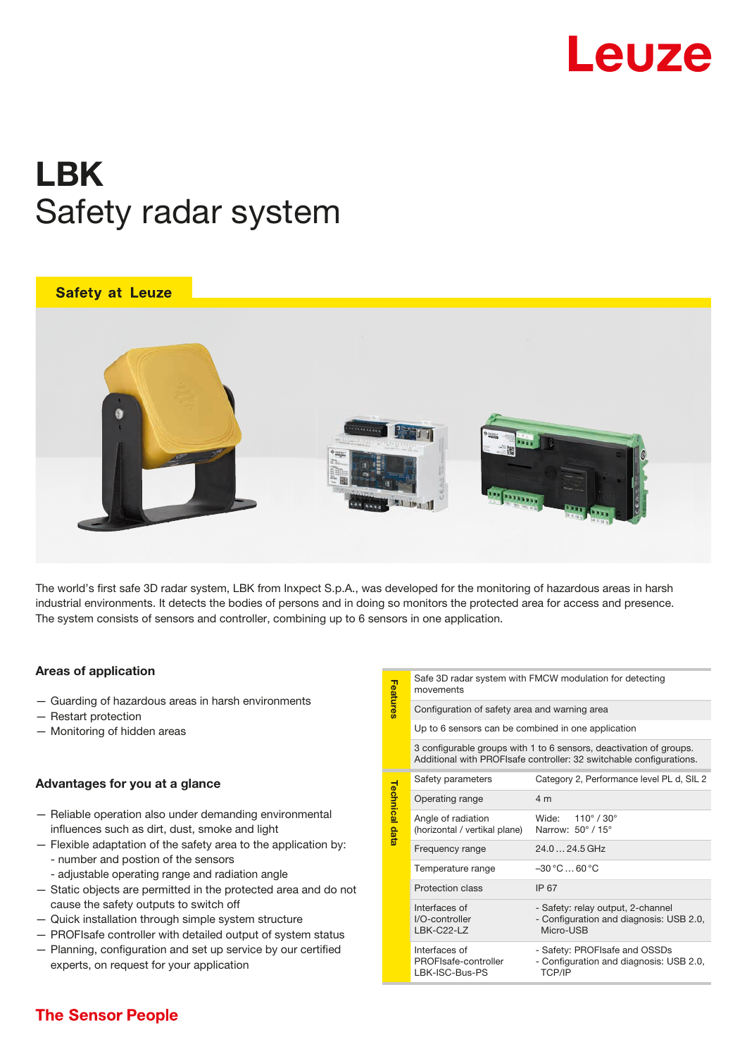

# LBK Safety radar system

# **Safety at Leuze**



The world's first safe 3D radar system, LBK from Inxpect S.p.A., was developed for the monitoring of hazardous areas in harsh industrial environments. It detects the bodies of persons and in doing so monitors the protected area for access and presence. The system consists of sensors and controller, combining up to 6 sensors in one application.

### Areas of application

- Guarding of hazardous areas in harsh environments
- Restart protection
- Monitoring of hidden areas

#### Advantages for you at a glance

- Reliable operation also under demanding environmental influences such as dirt, dust, smoke and light
- Flexible adaptation of the safety area to the application by: - number and postion of the sensors
	- adjustable operating range and radiation angle
- Static objects are permitted in the protected area and do not cause the safety outputs to switch off
- Quick installation through simple system structure
- PROFIsafe controller with detailed output of system status
- $-$  Planning, configuration and set up service by our certified experts, on request for your application

| Features | Safe 3D radar system with FMCW modulation for detecting<br>movements |
|----------|----------------------------------------------------------------------|
|          | Configuration of safety area and warning area                        |

Configuration of safety area and warning area Up to 6 sensors can be combined in one application

3 configurable groups with 1 to 6 sensors, deactivation of groups. Additional with PROFIsafe controller: 32 switchable configurations.

| <b>Technical data</b> | Safety parameters                                       | Category 2, Performance level PL d, SIL 2                                                 |
|-----------------------|---------------------------------------------------------|-------------------------------------------------------------------------------------------|
|                       | Operating range                                         | 4 m                                                                                       |
|                       | Angle of radiation<br>(horizontal / vertikal plane)     | $110^{\circ}$ / $30^{\circ}$<br>Wide:<br>Narrow: 50° / 15°                                |
|                       | Frequency range                                         | $24.024.5$ GHz                                                                            |
|                       | Temperature range                                       | $-30 °C  60 °C$                                                                           |
|                       | Protection class                                        | IP 67                                                                                     |
|                       | Interfaces of<br>I/O-controller<br>LBK-C22-LZ           | - Safety: relay output, 2-channel<br>- Configuration and diagnosis: USB 2.0,<br>Micro-USB |
|                       | Interfaces of<br>PROFIsafe-controller<br>LBK-ISC-Bus-PS | - Safety: PROFIsafe and OSSDs<br>- Configuration and diagnosis: USB 2.0,<br><b>TCP/IP</b> |

# **The Sensor People**